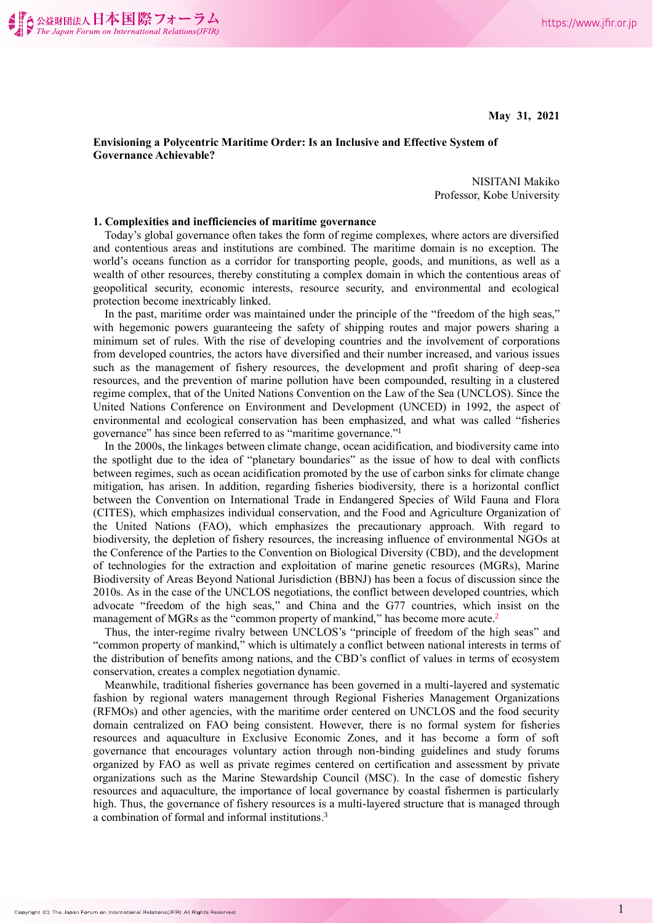**May 31, 2021**

# **Envisioning a Polycentric Maritime Order: Is an Inclusive and Effective System of Governance Achievable?**

NISITANI Makiko Professor, Kobe University

## **1. Complexities and inefficiencies of maritime governance**

Today's global governance often takes the form of regime complexes, where actors are diversified and contentious areas and institutions are combined. The maritime domain is no exception. The world's oceans function as a corridor for transporting people, goods, and munitions, as well as a wealth of other resources, thereby constituting a complex domain in which the contentious areas of geopolitical security, economic interests, resource security, and environmental and ecological protection become inextricably linked.

In the past, maritime order was maintained under the principle of the "freedom of the high seas," with hegemonic powers guaranteeing the safety of shipping routes and major powers sharing a minimum set of rules. With the rise of developing countries and the involvement of corporations from developed countries, the actors have diversified and their number increased, and various issues such as the management of fishery resources, the development and profit sharing of deep-sea resources, and the prevention of marine pollution have been compounded, resulting in a clustered regime complex, that of the United Nations Convention on the Law of the Sea (UNCLOS). Since the United Nations Conference on Environment and Development (UNCED) in 1992, the aspect of environmental and ecological conservation has been emphasized, and what was called "fisheries governance" has since been referred to as "maritime governance."<sup>1</sup>

In the 2000s, the linkages between climate change, ocean acidification, and biodiversity came into the spotlight due to the idea of "planetary boundaries" as the issue of how to deal with conflicts between regimes, such as ocean acidification promoted by the use of carbon sinks for climate change mitigation, has arisen. In addition, regarding fisheries biodiversity, there is a horizontal conflict between the Convention on International Trade in Endangered Species of Wild Fauna and Flora (CITES), which emphasizes individual conservation, and the Food and Agriculture Organization of the United Nations (FAO), which emphasizes the precautionary approach. With regard to biodiversity, the depletion of fishery resources, the increasing influence of environmental NGOs at the Conference of the Parties to the Convention on Biological Diversity (CBD), and the development of technologies for the extraction and exploitation of marine genetic resources (MGRs), Marine Biodiversity of Areas Beyond National Jurisdiction (BBNJ) has been a focus of discussion since the 2010s. As in the case of the UNCLOS negotiations, the conflict between developed countries, which advocate "freedom of the high seas," and China and the G77 countries, which insist on the management of MGRs as the "common property of mankind," has become more acute.<sup>2</sup>

Thus, the inter-regime rivalry between UNCLOS's "principle of freedom of the high seas" and "common property of mankind," which is ultimately a conflict between national interests in terms of the distribution of benefits among nations, and the CBD's conflict of values in terms of ecosystem conservation, creates a complex negotiation dynamic.

Meanwhile, traditional fisheries governance has been governed in a multi-layered and systematic fashion by regional waters management through Regional Fisheries Management Organizations (RFMOs) and other agencies, with the maritime order centered on UNCLOS and the food security domain centralized on FAO being consistent. However, there is no formal system for fisheries resources and aquaculture in Exclusive Economic Zones, and it has become a form of soft governance that encourages voluntary action through non-binding guidelines and study forums organized by FAO as well as private regimes centered on certification and assessment by private organizations such as the Marine Stewardship Council (MSC). In the case of domestic fishery resources and aquaculture, the importance of local governance by coastal fishermen is particularly high. Thus, the governance of fishery resources is a multi-layered structure that is managed through a combination of formal and informal institutions. 3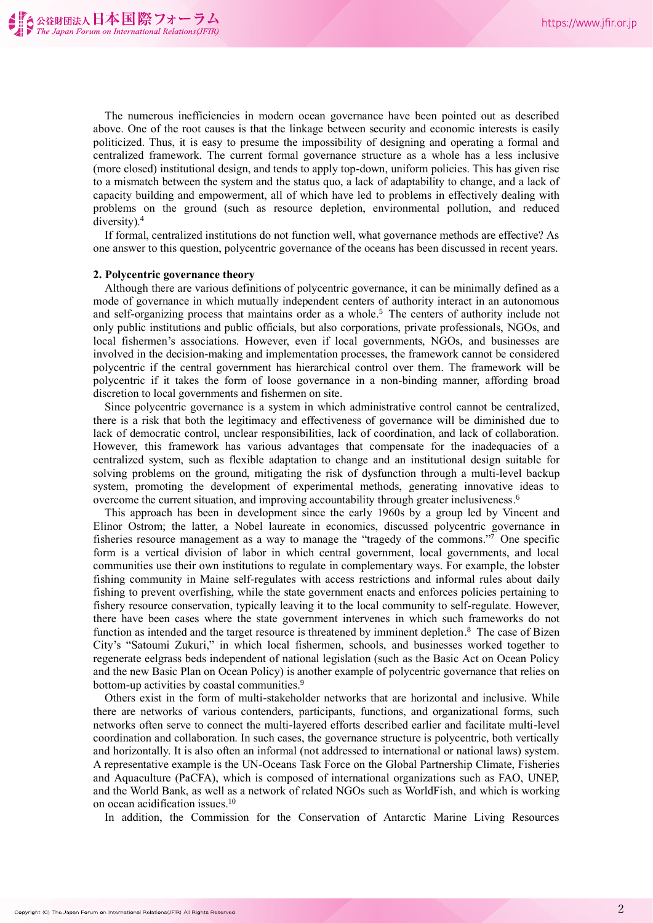The numerous inefficiencies in modern ocean governance have been pointed out as described above. One of the root causes is that the linkage between security and economic interests is easily politicized. Thus, it is easy to presume the impossibility of designing and operating a formal and centralized framework. The current formal governance structure as a whole has a less inclusive (more closed) institutional design, and tends to apply top-down, uniform policies. This has given rise to a mismatch between the system and the status quo, a lack of adaptability to change, and a lack of capacity building and empowerment, all of which have led to problems in effectively dealing with problems on the ground (such as resource depletion, environmental pollution, and reduced diversity). 4

If formal, centralized institutions do not function well, what governance methods are effective? As one answer to this question, polycentric governance of the oceans has been discussed in recent years.

#### **2. Polycentric governance theory**

Although there are various definitions of polycentric governance, it can be minimally defined as a mode of governance in which mutually independent centers of authority interact in an autonomous and self-organizing process that maintains order as a whole. <sup>5</sup> The centers of authority include not only public institutions and public officials, but also corporations, private professionals, NGOs, and local fishermen's associations. However, even if local governments, NGOs, and businesses are involved in the decision-making and implementation processes, the framework cannot be considered polycentric if the central government has hierarchical control over them. The framework will be polycentric if it takes the form of loose governance in a non-binding manner, affording broad discretion to local governments and fishermen on site.

Since polycentric governance is a system in which administrative control cannot be centralized, there is a risk that both the legitimacy and effectiveness of governance will be diminished due to lack of democratic control, unclear responsibilities, lack of coordination, and lack of collaboration. However, this framework has various advantages that compensate for the inadequacies of a centralized system, such as flexible adaptation to change and an institutional design suitable for solving problems on the ground, mitigating the risk of dysfunction through a multi-level backup system, promoting the development of experimental methods, generating innovative ideas to overcome the current situation, and improving accountability through greater inclusiveness.<sup>6</sup>

This approach has been in development since the early 1960s by a group led by Vincent and Elinor Ostrom; the latter, a Nobel laureate in economics, discussed polycentric governance in fisheries resource management as a way to manage the "tragedy of the commons."<sup>7</sup> One specific form is a vertical division of labor in which central government, local governments, and local communities use their own institutions to regulate in complementary ways. For example, the lobster fishing community in Maine self-regulates with access restrictions and informal rules about daily fishing to prevent overfishing, while the state government enacts and enforces policies pertaining to fishery resource conservation, typically leaving it to the local community to self-regulate. However, there have been cases where the state government intervenes in which such frameworks do not function as intended and the target resource is threatened by imminent depletion.<sup>8</sup> The case of Bizen City's "Satoumi Zukuri," in which local fishermen, schools, and businesses worked together to regenerate eelgrass beds independent of national legislation (such as the Basic Act on Ocean Policy and the new Basic Plan on Ocean Policy) is another example of polycentric governance that relies on bottom-up activities by coastal communities.<sup>9</sup>

Others exist in the form of multi-stakeholder networks that are horizontal and inclusive. While there are networks of various contenders, participants, functions, and organizational forms, such networks often serve to connect the multi-layered efforts described earlier and facilitate multi-level coordination and collaboration. In such cases, the governance structure is polycentric, both vertically and horizontally. It is also often an informal (not addressed to international or national laws) system. A representative example is the UN-Oceans Task Force on the Global Partnership Climate, Fisheries and Aquaculture (PaCFA), which is composed of international organizations such as FAO, UNEP, and the World Bank, as well as a network of related NGOs such as WorldFish, and which is working on ocean acidification issues. 10

In addition, the Commission for the Conservation of Antarctic Marine Living Resources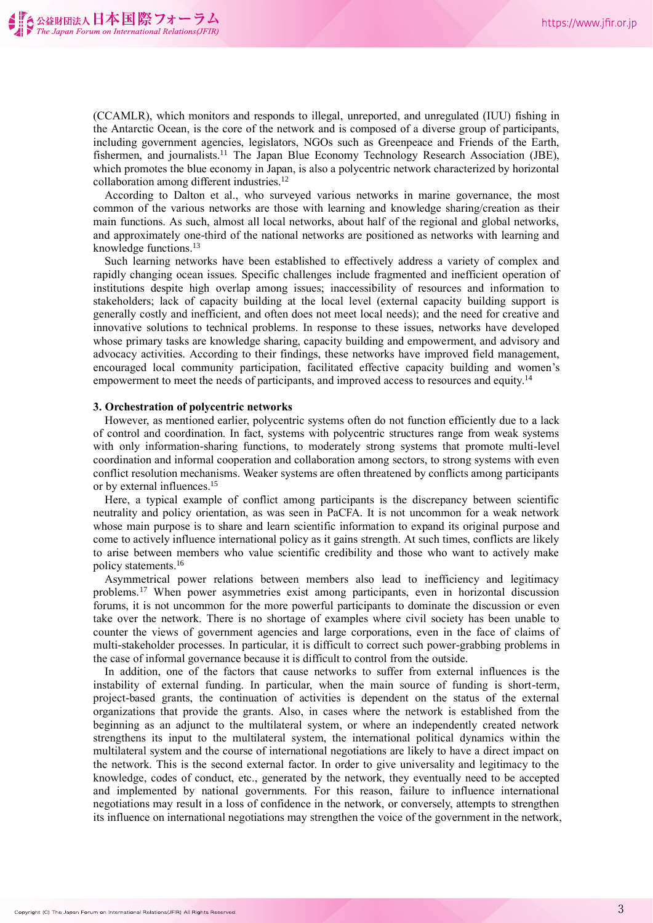(CCAMLR), which monitors and responds to illegal, unreported, and unregulated (IUU) fishing in the Antarctic Ocean, is the core of the network and is composed of a diverse group of participants, including government agencies, legislators, NGOs such as Greenpeace and Friends of the Earth, fishermen, and journalists.<sup>11</sup> The Japan Blue Economy Technology Research Association (JBE), which promotes the blue economy in Japan, is also a polycentric network characterized by horizontal collaboration among different industries.<sup>12</sup>

According to Dalton et al., who surveyed various networks in marine governance, the most common of the various networks are those with learning and knowledge sharing/creation as their main functions. As such, almost all local networks, about half of the regional and global networks, and approximately one-third of the national networks are positioned as networks with learning and knowledge functions. 13

Such learning networks have been established to effectively address a variety of complex and rapidly changing ocean issues. Specific challenges include fragmented and inefficient operation of institutions despite high overlap among issues; inaccessibility of resources and information to stakeholders; lack of capacity building at the local level (external capacity building support is generally costly and inefficient, and often does not meet local needs); and the need for creative and innovative solutions to technical problems. In response to these issues, networks have developed whose primary tasks are knowledge sharing, capacity building and empowerment, and advisory and advocacy activities. According to their findings, these networks have improved field management, encouraged local community participation, facilitated effective capacity building and women's empowerment to meet the needs of participants, and improved access to resources and equity.<sup>14</sup>

## **3. Orchestration of polycentric networks**

However, as mentioned earlier, polycentric systems often do not function efficiently due to a lack of control and coordination. In fact, systems with polycentric structures range from weak systems with only information-sharing functions, to moderately strong systems that promote multi-level coordination and informal cooperation and collaboration among sectors, to strong systems with even conflict resolution mechanisms. Weaker systems are often threatened by conflicts among participants or by external influences. 15

Here, a typical example of conflict among participants is the discrepancy between scientific neutrality and policy orientation, as was seen in PaCFA. It is not uncommon for a weak network whose main purpose is to share and learn scientific information to expand its original purpose and come to actively influence international policy as it gains strength. At such times, conflicts are likely to arise between members who value scientific credibility and those who want to actively make policy statements. 16

Asymmetrical power relations between members also lead to inefficiency and legitimacy problems. <sup>17</sup> When power asymmetries exist among participants, even in horizontal discussion forums, it is not uncommon for the more powerful participants to dominate the discussion or even take over the network. There is no shortage of examples where civil society has been unable to counter the views of government agencies and large corporations, even in the face of claims of multi-stakeholder processes. In particular, it is difficult to correct such power-grabbing problems in the case of informal governance because it is difficult to control from the outside.

In addition, one of the factors that cause networks to suffer from external influences is the instability of external funding. In particular, when the main source of funding is short-term, project-based grants, the continuation of activities is dependent on the status of the external organizations that provide the grants. Also, in cases where the network is established from the beginning as an adjunct to the multilateral system, or where an independently created network strengthens its input to the multilateral system, the international political dynamics within the multilateral system and the course of international negotiations are likely to have a direct impact on the network. This is the second external factor. In order to give universality and legitimacy to the knowledge, codes of conduct, etc., generated by the network, they eventually need to be accepted and implemented by national governments. For this reason, failure to influence international negotiations may result in a loss of confidence in the network, or conversely, attempts to strengthen its influence on international negotiations may strengthen the voice of the government in the network,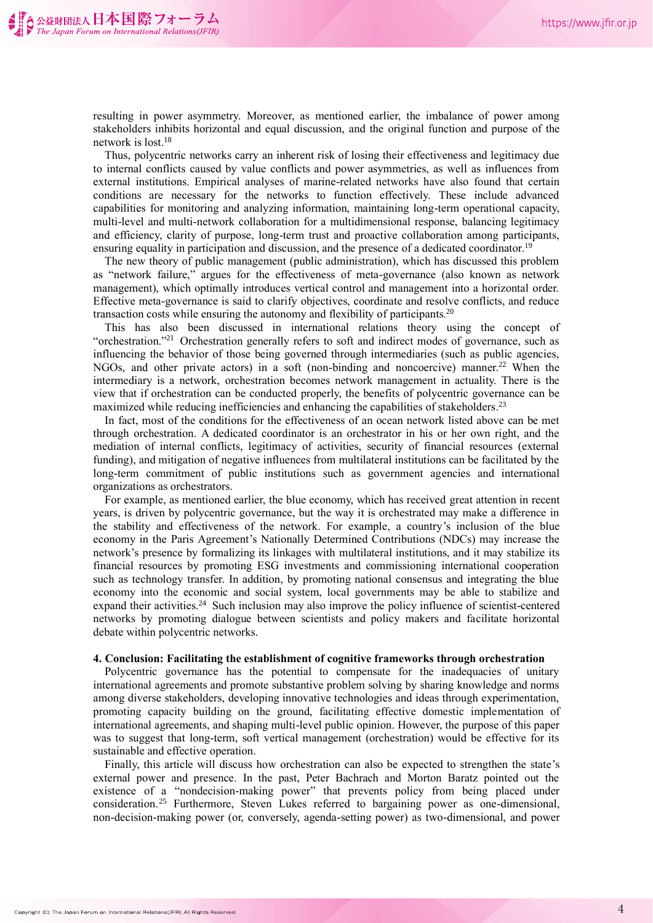resulting in power asymmetry. Moreover, as mentioned earlier, the imbalance of power among stakeholders inhibits horizontal and equal discussion, and the original function and purpose of the network is lost. 18

Thus, polycentric networks carry an inherent risk of losing their effectiveness and legitimacy due to internal conflicts caused by value conflicts and power asymmetries, as well as influences from external institutions. Empirical analyses of marine-related networks have also found that certain conditions are necessary for the networks to function effectively. These include advanced capabilities for monitoring and analyzing information, maintaining long-term operational capacity, multi-level and multi-network collaboration for a multidimensional response, balancing legitimacy and efficiency, clarity of purpose, long-term trust and proactive collaboration among participants, ensuring equality in participation and discussion, and the presence of a dedicated coordinator.<sup>19</sup>

The new theory of public management (public administration), which has discussed this problem as "network failure," argues for the effectiveness of meta-governance (also known as network management), which optimally introduces vertical control and management into a horizontal order. Effective meta-governance is said to clarify objectives, coordinate and resolve conflicts, and reduce transaction costs while ensuring the autonomy and flexibility of participants.<sup>20</sup>

This has also been discussed in international relations theory using the concept of "orchestration."<sup>21</sup> Orchestration generally refers to soft and indirect modes of governance, such as influencing the behavior of those being governed through intermediaries (such as public agencies, NGOs, and other private actors) in a soft (non-binding and noncoercive) manner. <sup>22</sup> When the intermediary is a network, orchestration becomes network management in actuality. There is the view that if orchestration can be conducted properly, the benefits of polycentric governance can be maximized while reducing inefficiencies and enhancing the capabilities of stakeholders.<sup>23</sup>

In fact, most of the conditions for the effectiveness of an ocean network listed above can be met through orchestration. A dedicated coordinator is an orchestrator in his or her own right, and the mediation of internal conflicts, legitimacy of activities, security of financial resources (external funding), and mitigation of negative influences from multilateral institutions can be facilitated by the long-term commitment of public institutions such as government agencies and international organizations as orchestrators.

For example, as mentioned earlier, the blue economy, which has received great attention in recent years, is driven by polycentric governance, but the way it is orchestrated may make a difference in the stability and effectiveness of the network. For example, a country's inclusion of the blue economy in the Paris Agreement's Nationally Determined Contributions (NDCs) may increase the network's presence by formalizing its linkages with multilateral institutions, and it may stabilize its financial resources by promoting ESG investments and commissioning international cooperation such as technology transfer. In addition, by promoting national consensus and integrating the blue economy into the economic and social system, local governments may be able to stabilize and expand their activities.<sup>24</sup> Such inclusion may also improve the policy influence of scientist-centered networks by promoting dialogue between scientists and policy makers and facilitate horizontal debate within polycentric networks.

### **4. Conclusion: Facilitating the establishment of cognitive frameworks through orchestration**

Polycentric governance has the potential to compensate for the inadequacies of unitary international agreements and promote substantive problem solving by sharing knowledge and norms among diverse stakeholders, developing innovative technologies and ideas through experimentation, promoting capacity building on the ground, facilitating effective domestic implementation of international agreements, and shaping multi-level public opinion. However, the purpose of this paper was to suggest that long-term, soft vertical management (orchestration) would be effective for its sustainable and effective operation.

Finally, this article will discuss how orchestration can also be expected to strengthen the state's external power and presence. In the past, Peter Bachrach and Morton Baratz pointed out the existence of a "nondecision-making power" that prevents policy from being placed under consideration. <sup>25</sup> Furthermore, Steven Lukes referred to bargaining power as one-dimensional, non-decision-making power (or, conversely, agenda-setting power) as two-dimensional, and power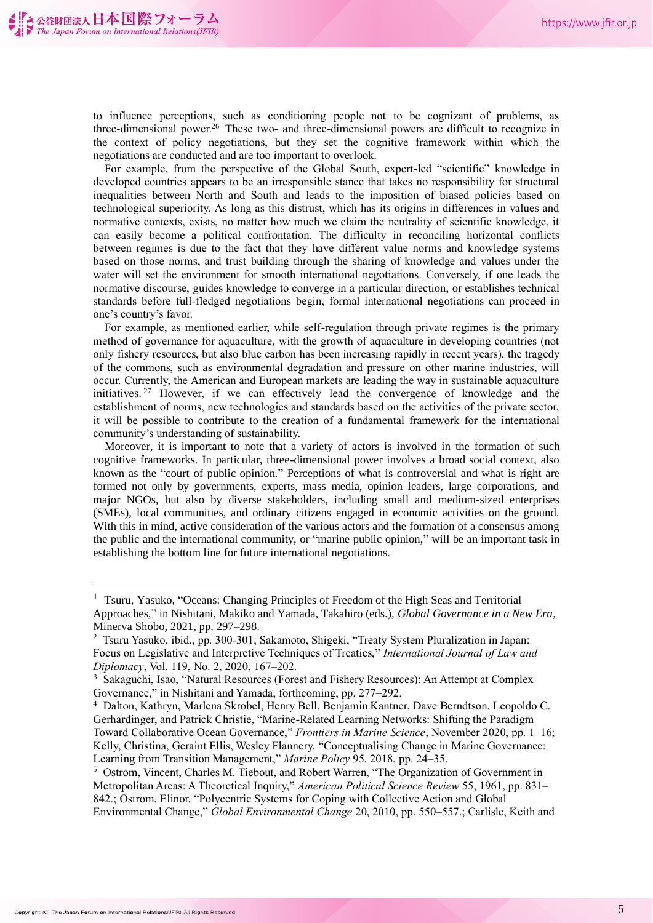to influence perceptions, such as conditioning people not to be cognizant of problems, as three-dimensional power. <sup>26</sup> These two- and three-dimensional powers are difficult to recognize in the context of policy negotiations, but they set the cognitive framework within which the negotiations are conducted and are too important to overlook.

For example, from the perspective of the Global South, expert-led "scientific" knowledge in developed countries appears to be an irresponsible stance that takes no responsibility for structural inequalities between North and South and leads to the imposition of biased policies based on technological superiority. As long as this distrust, which has its origins in differences in values and normative contexts, exists, no matter how much we claim the neutrality of scientific knowledge, it can easily become a political confrontation. The difficulty in reconciling horizontal conflicts between regimes is due to the fact that they have different value norms and knowledge systems based on those norms, and trust building through the sharing of knowledge and values under the water will set the environment for smooth international negotiations. Conversely, if one leads the normative discourse, guides knowledge to converge in a particular direction, or establishes technical standards before full-fledged negotiations begin, formal international negotiations can proceed in one's country's favor.

For example, as mentioned earlier, while self-regulation through private regimes is the primary method of governance for aquaculture, with the growth of aquaculture in developing countries (not only fishery resources, but also blue carbon has been increasing rapidly in recent years), the tragedy of the commons, such as environmental degradation and pressure on other marine industries, will occur. Currently, the American and European markets are leading the way in sustainable aquaculture initiatives.<sup>27</sup> However, if we can effectively lead the convergence of knowledge and the establishment of norms, new technologies and standards based on the activities of the private sector, it will be possible to contribute to the creation of a fundamental framework for the international community's understanding of sustainability.

Moreover, it is important to note that a variety of actors is involved in the formation of such cognitive frameworks. In particular, three-dimensional power involves a broad social context, also known as the "court of public opinion." Perceptions of what is controversial and what is right are formed not only by governments, experts, mass media, opinion leaders, large corporations, and major NGOs, but also by diverse stakeholders, including small and medium-sized enterprises (SMEs), local communities, and ordinary citizens engaged in economic activities on the ground. With this in mind, active consideration of the various actors and the formation of a consensus among the public and the international community, or "marine public opinion," will be an important task in establishing the bottom line for future international negotiations.

<sup>&</sup>lt;sup>1</sup> Tsuru, Yasuko, "Oceans: Changing Principles of Freedom of the High Seas and Territorial Approaches," in Nishitani, Makiko and Yamada, Takahiro (eds.), *Global Governance in a New Era*, Minerva Shobo, 2021, pp. 297–298.

<sup>2</sup> Tsuru Yasuko, ibid., pp. 300-301; Sakamoto, Shigeki, "Treaty System Pluralization in Japan: Focus on Legislative and Interpretive Techniques of Treaties," *International Journal of Law and Diplomacy*, Vol. 119, No. 2, 2020, 167–202.

<sup>3</sup> Sakaguchi, Isao, "Natural Resources (Forest and Fishery Resources): An Attempt at Complex Governance," in Nishitani and Yamada, forthcoming, pp. 277–292.

<sup>4</sup> Dalton, Kathryn, Marlena Skrobel, Henry Bell, Benjamin Kantner, Dave Berndtson, Leopoldo C. Gerhardinger, and Patrick Christie, "Marine-Related Learning Networks: Shifting the Paradigm Toward Collaborative Ocean Governance," *Frontiers in Marine Science*, November 2020, pp. 1–16; Kelly, Christina, Geraint Ellis, Wesley Flannery, "Conceptualising Change in Marine Governance: Learning from Transition Management," *Marine Policy* 95, 2018, pp. 24–35.

<sup>5</sup> Ostrom, Vincent, Charles M. Tiebout, and Robert Warren, "The Organization of Government in Metropolitan Areas: A Theoretical Inquiry," *American Political Science Review* 55, 1961, pp. 831– 842.; Ostrom, Elinor, "Polycentric Systems for Coping with Collective Action and Global Environmental Change," *Global Environmental Change* 20, 2010, pp. 550–557.; Carlisle, Keith and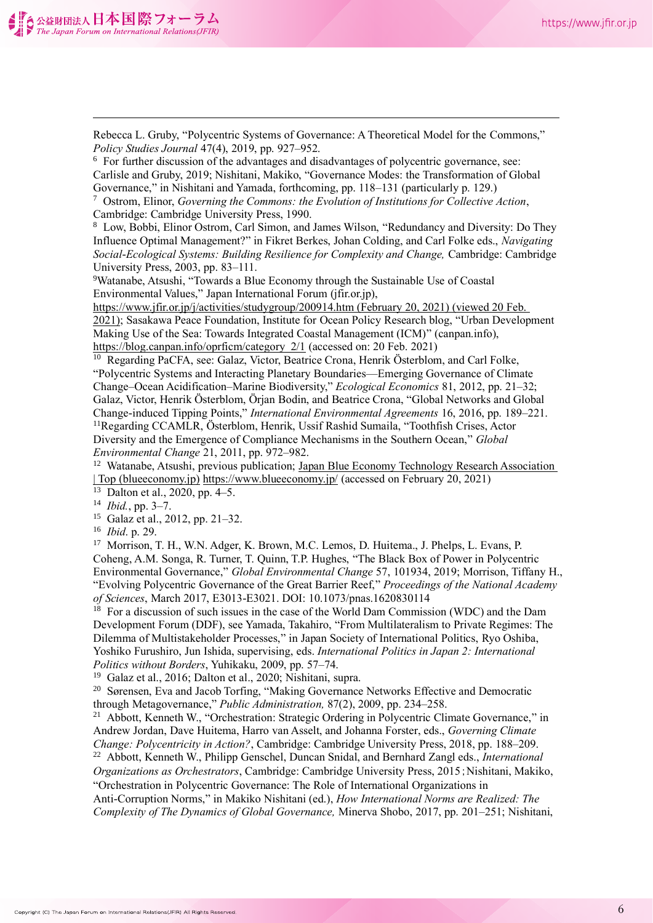Rebecca L. Gruby, "Polycentric Systems of Governance: A Theoretical Model for the Commons," *Policy Studies Journal* 47(4), 2019, pp. 927–952. <sup>6</sup> For further discussion of the advantages and disadvantages of polycentric governance, see: Carlisle and Gruby, 2019; Nishitani, Makiko, "Governance Modes: the Transformation of Global Governance," in Nishitani and Yamada, forthcoming, pp. 118–131 (particularly p. 129.) <sup>7</sup> Ostrom, Elinor, *Governing the Commons: the Evolution of Institutions for Collective Action*, Cambridge: Cambridge University Press, 1990. <sup>8</sup> Low, Bobbi, Elinor Ostrom, Carl Simon, and James Wilson, "Redundancy and Diversity: Do They Influence Optimal Management?" in Fikret Berkes, Johan Colding, and Carl Folke eds., *Navigating Social-Ecological Systems: Building Resilience for Complexity and Change,* Cambridge: Cambridge University Press, 2003, pp. 83–111. <sup>9</sup>Watanabe, Atsushi, "Towards a Blue Economy through the Sustainable Use of Coastal Environmental Values," Japan International Forum (jfir.or.jp), https://www.jfir.or.jp/j/activities/studygroup/200914.htm (February 20, 2021) (viewed 20 Feb. 2021); Sasakawa Peace Foundation, Institute for Ocean Policy Research blog, "Urban Development Making Use of the Sea: Towards Integrated Coastal Management (ICM)" (canpan.info), https://blog.canpan.info/oprficm/category 2/1 (accessed on: 20 Feb. 2021) <sup>10</sup> Regarding PaCFA, see: Galaz, Victor, Beatrice Crona, Henrik Österblom, and Carl Folke, "Polycentric Systems and Interacting Planetary Boundaries—Emerging Governance of Climate Change–Ocean Acidification–Marine Biodiversity," *Ecological Economics* 81, 2012, pp. 21–32; Galaz, Victor, Henrik Österblom, Örjan Bodin, and Beatrice Crona, "Global Networks and Global Change-induced Tipping Points," *International Environmental Agreements* 16, 2016, pp. 189–221. <sup>11</sup>Regarding CCAMLR, Österblom, Henrik, Ussif Rashid Sumaila, "Toothfish Crises, Actor Diversity and the Emergence of Compliance Mechanisms in the Southern Ocean," *Global Environmental Change* 21, 2011, pp. 972–982. <sup>12</sup> Watanabe, Atsushi, previous publication; Japan Blue Economy Technology Research Association | Top (blueeconomy.jp) https://www.blueeconomy.jp/ (accessed on February 20, 2021) <sup>13</sup> Dalton et al., 2020, pp. 4–5. <sup>14</sup> *Ibid.*, pp. 3–7. <sup>15</sup> Galaz et al., 2012, pp. 21–32. <sup>16</sup> *Ibid*. p. 29. <sup>17</sup> Morrison, T. H., W.N. Adger, K. Brown, M.C. Lemos, D. Huitema., J. Phelps, L. Evans, P. Coheng, A.M. Songa, R. Turner, T. Quinn, T.P. Hughes, "The Black Box of Power in Polycentric Environmental Governance," *Global Environmental Change* 57, 101934, 2019; Morrison, Tiffany H., "Evolving Polycentric Governance of the Great Barrier Reef," *Proceedings of the National Academy of Sciences*, March 2017, E3013-E3021. DOI: 10.1073/pnas.1620830114  $18$  For a discussion of such issues in the case of the World Dam Commission (WDC) and the Dam Development Forum (DDF), see Yamada, Takahiro, "From Multilateralism to Private Regimes: The Dilemma of Multistakeholder Processes," in Japan Society of International Politics, Ryo Oshiba, Yoshiko Furushiro, Jun Ishida, supervising, eds. *International Politics in Japan 2: International Politics without Borders*, Yuhikaku, 2009, pp. 57–74. <sup>19</sup> Galaz et al., 2016; Dalton et al., 2020; Nishitani, supra. <sup>20</sup> Sørensen, Eva and Jacob Torfing, "Making Governance Networks Effective and Democratic through Metagovernance," *Public Administration,* 87(2), 2009, pp. 234–258. <sup>21</sup> Abbott, Kenneth W., "Orchestration: Strategic Ordering in Polycentric Climate Governance," in Andrew Jordan, Dave Huitema, Harro van Asselt, and Johanna Forster, eds., *Governing Climate Change: Polycentricity in Action?*, Cambridge: Cambridge University Press, 2018, pp. 188–209. <sup>22</sup> Abbott, Kenneth W., Philipp Genschel, Duncan Snidal, and Bernhard Zangl eds., *International Organizations as Orchestrators*, Cambridge: Cambridge University Press, 2015;Nishitani, Makiko, "Orchestration in Polycentric Governance: The Role of International Organizations in Anti-Corruption Norms," in Makiko Nishitani (ed.), *How International Norms are Realized: The* 

*Complexity of The Dynamics of Global Governance,* Minerva Shobo, 2017, pp. 201–251; Nishitani,